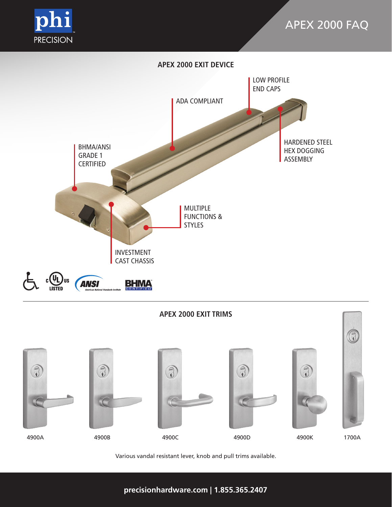

# **APEX 2000 EXIT DEVICE**



# **APEX 2000 EXIT TRIMS** O  $\begin{matrix} \begin{matrix} 0 \\ 0 \end{matrix} \end{matrix}$  $\begin{picture}(40,40) \put(0,0){\line(1,0){155}} \put(15,0){\line(1,0){155}} \put(15,0){\line(1,0){155}} \put(15,0){\line(1,0){155}} \put(15,0){\line(1,0){155}} \put(15,0){\line(1,0){155}} \put(15,0){\line(1,0){155}} \put(15,0){\line(1,0){155}} \put(15,0){\line(1,0){155}} \put(15,0){\line(1,0){155}} \put(15,0){\line(1,0){155}} \$  $\begin{pmatrix} 1 \\ 0 \\ 0 \end{pmatrix}$  $\begin{picture}(40,40) \put(0,0){\line(1,0){155}} \put(15,0){\line(1,0){155}} \put(15,0){\line(1,0){155}} \put(15,0){\line(1,0){155}} \put(15,0){\line(1,0){155}} \put(15,0){\line(1,0){155}} \put(15,0){\line(1,0){155}} \put(15,0){\line(1,0){155}} \put(15,0){\line(1,0){155}} \put(15,0){\line(1,0){155}} \put(15,0){\line(1,0){155}} \$ 4900A 4900B 4900C 4900D 4900K 1700A

Various vandal resistant lever, knob and pull trims available.